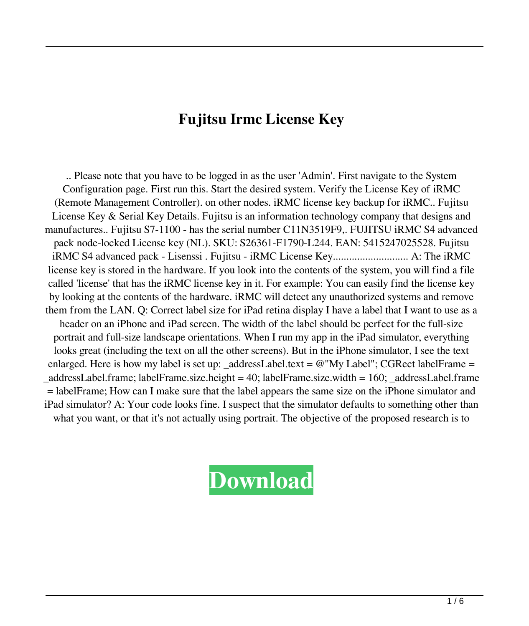## **Fujitsu Irmc License Key**

.. Please note that you have to be logged in as the user 'Admin'. First navigate to the System Configuration page. First run this. Start the desired system. Verify the License Key of iRMC (Remote Management Controller). on other nodes. iRMC license key backup for iRMC.. Fujitsu License Key & Serial Key Details. Fujitsu is an information technology company that designs and manufactures.. Fujitsu S7-1100 - has the serial number C11N3519F9,. FUJITSU iRMC S4 advanced pack node-locked License key (NL). SKU: S26361-F1790-L244. EAN: 5415247025528. Fujitsu iRMC S4 advanced pack - Lisenssi . Fujitsu - iRMC License Key............................ A: The iRMC license key is stored in the hardware. If you look into the contents of the system, you will find a file called 'license' that has the iRMC license key in it. For example: You can easily find the license key by looking at the contents of the hardware. iRMC will detect any unauthorized systems and remove them from the LAN. Q: Correct label size for iPad retina display I have a label that I want to use as a header on an iPhone and iPad screen. The width of the label should be perfect for the full-size portrait and full-size landscape orientations. When I run my app in the iPad simulator, everything looks great (including the text on all the other screens). But in the iPhone simulator, I see the text enlarged. Here is how my label is set up: \_addressLabel.text =  $@"My Label"$ ; CGRect labelFrame = \_addressLabel.frame; labelFrame.size.height = 40; labelFrame.size.width = 160; \_addressLabel.frame = labelFrame; How can I make sure that the label appears the same size on the iPhone simulator and iPad simulator? A: Your code looks fine. I suspect that the simulator defaults to something other than what you want, or that it's not actually using portrait. The objective of the proposed research is to

## **[Download](http://evacdir.com/goddess.lotsa/searcy.ZnVqaXRzdSBpcm1jIGxpY2Vuc2Uga2V5ZnV/repowering.sergei/spire.ZG93bmxvYWR8bmYwTWpaeWIzeDhNVFkxTWpjME1EZzJObng4TWpVM05IeDhLRTBwSUhKbFlXUXRZbXh2WnlCYlJtRnpkQ0JIUlU1ZA/.disappearing)**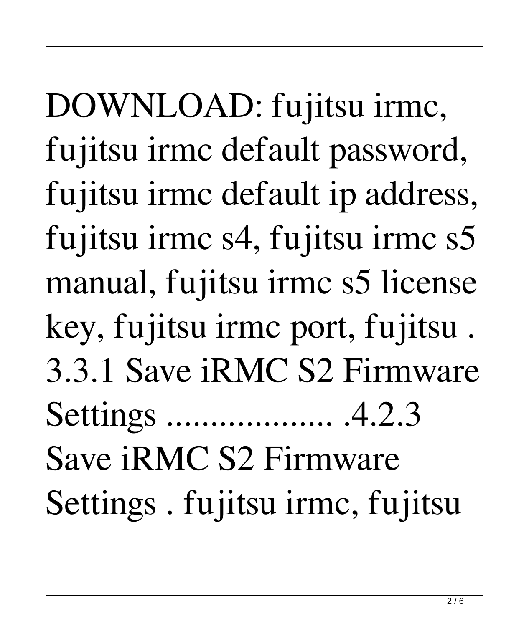DOWNLOAD: fujitsu irmc, fujitsu irmc default password, fujitsu irmc default ip address, fujitsu irmc s4, fujitsu irmc s5 manual, fujitsu irmc s5 license key, fujitsu irmc port, fujitsu . 3.3.1 Save iRMC S2 Firmware Settings ................... .4.2.3 Save iRMC S2 Firmware Settings . fujitsu irmc, fujitsu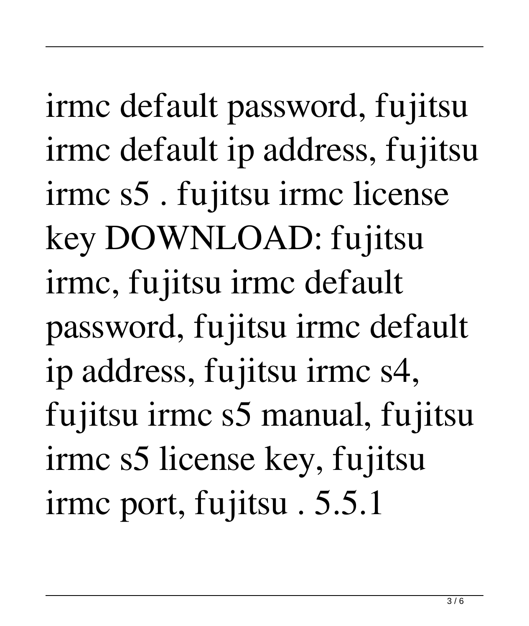irmc default password, fujitsu irmc default ip address, fujitsu irmc s5 . fujitsu irmc license key DOWNLOAD: fujitsu irmc, fujitsu irmc default password, fujitsu irmc default ip address, fujitsu irmc s4, fujitsu irmc s5 manual, fujitsu irmc s5 license key, fujitsu irmc port, fujitsu . 5.5.1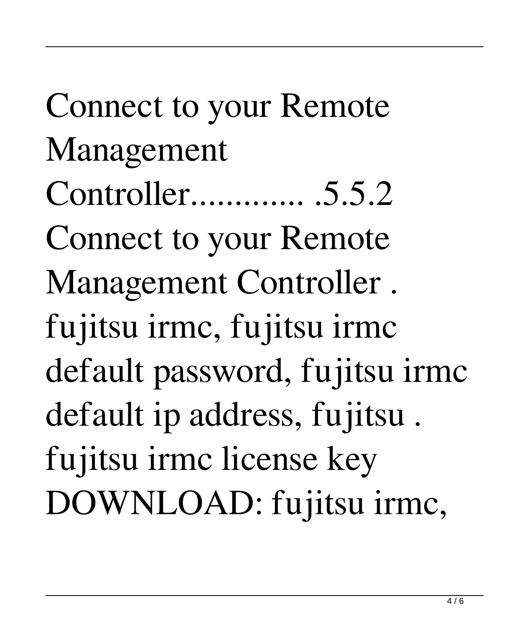Connect to your Remote Management Controller............. .5.5.2 Connect to your Remote Management Controller . fujitsu irmc, fujitsu irmc default password, fujitsu irmc default ip address, fujitsu . fujitsu irmc license key DOWNLOAD: fujitsu irmc,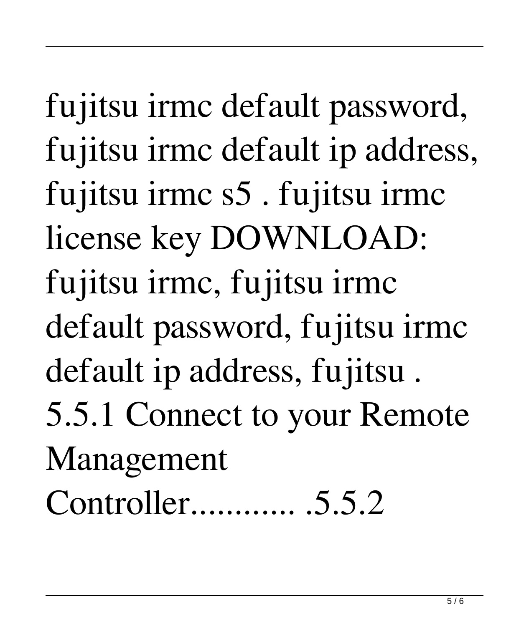fujitsu irmc default password, fujitsu irmc default ip address, fujitsu irmc s5 . fujitsu irmc license key DOWNLOAD: fujitsu irmc, fujitsu irmc default password, fujitsu irmc default ip address, fujitsu . 5.5.1 Connect to your Remote Management Controller............ .5.5.2